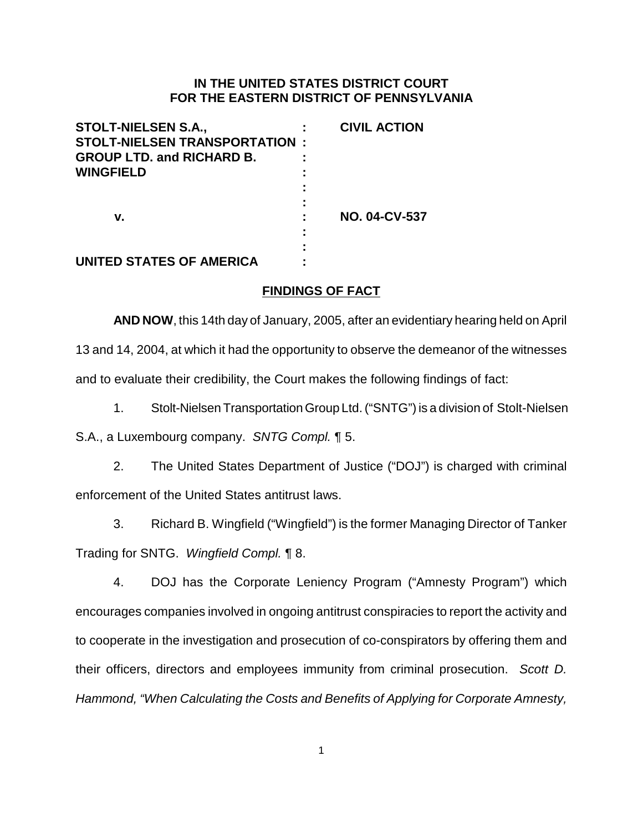## **IN THE UNITED STATES DISTRICT COURT FOR THE EASTERN DISTRICT OF PENNSYLVANIA**

| <b>STOLT-NIELSEN S.A.,</b>            | <b>CIVIL ACTION</b>  |
|---------------------------------------|----------------------|
| <b>STOLT-NIELSEN TRANSPORTATION :</b> |                      |
| <b>GROUP LTD. and RICHARD B.</b>      |                      |
| <b>WINGFIELD</b>                      |                      |
|                                       |                      |
|                                       |                      |
| v.                                    | <b>NO. 04-CV-537</b> |
|                                       |                      |
|                                       |                      |
| UNITED STATES OF AMERICA              |                      |

# **FINDINGS OF FACT**

**AND NOW**, this 14th day of January, 2005, after an evidentiary hearing held on April 13 and 14, 2004, at which it had the opportunity to observe the demeanor of the witnesses and to evaluate their credibility, the Court makes the following findings of fact:

1. Stolt-Nielsen Transportation Group Ltd. ("SNTG") is a division of Stolt-Nielsen

S.A., a Luxembourg company. SNTG Compl. ¶ 5.

2. The United States Department of Justice ("DOJ") is charged with criminal enforcement of the United States antitrust laws.

3. Richard B. Wingfield ("Wingfield") is the former Managing Director of Tanker Trading for SNTG. Wingfield Compl. ¶ 8.

4. DOJ has the Corporate Leniency Program ("Amnesty Program") which encourages companies involved in ongoing antitrust conspiracies to report the activity and to cooperate in the investigation and prosecution of co-conspirators by offering them and their officers, directors and employees immunity from criminal prosecution. Scott D. Hammond, "When Calculating the Costs and Benefits of Applying for Corporate Amnesty,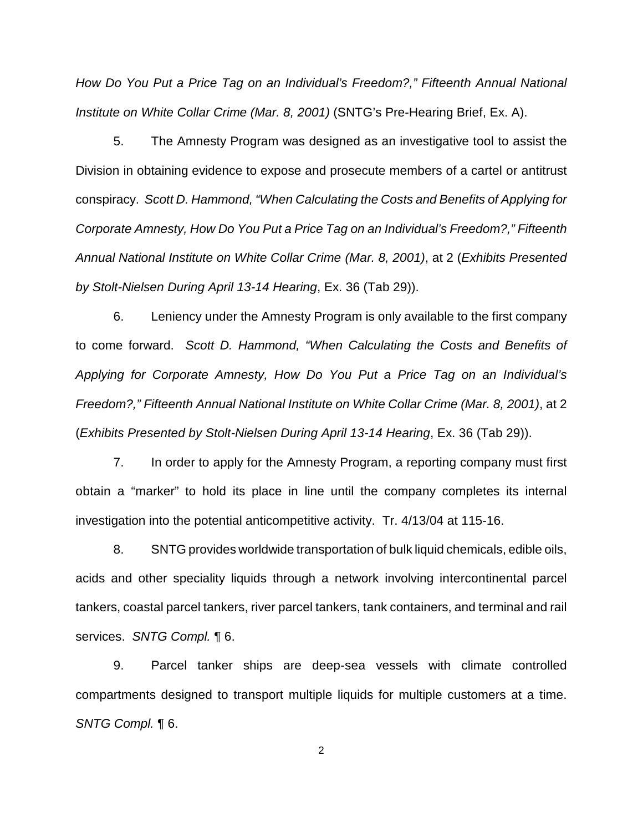How Do You Put a Price Tag on an Individual's Freedom?," Fifteenth Annual National Institute on White Collar Crime (Mar. 8, 2001) (SNTG's Pre-Hearing Brief, Ex. A).

5. The Amnesty Program was designed as an investigative tool to assist the Division in obtaining evidence to expose and prosecute members of a cartel or antitrust conspiracy. Scott D. Hammond, "When Calculating the Costs and Benefits of Applying for Corporate Amnesty, How Do You Put a Price Tag on an Individual's Freedom?," Fifteenth Annual National Institute on White Collar Crime (Mar. 8, 2001), at 2 (Exhibits Presented by Stolt-Nielsen During April 13-14 Hearing, Ex. 36 (Tab 29)).

6. Leniency under the Amnesty Program is only available to the first company to come forward. Scott D. Hammond, "When Calculating the Costs and Benefits of Applying for Corporate Amnesty, How Do You Put a Price Tag on an Individual's Freedom?," Fifteenth Annual National Institute on White Collar Crime (Mar. 8, 2001), at 2 (Exhibits Presented by Stolt-Nielsen During April 13-14 Hearing, Ex. 36 (Tab 29)).

7. In order to apply for the Amnesty Program, a reporting company must first obtain a "marker" to hold its place in line until the company completes its internal investigation into the potential anticompetitive activity. Tr. 4/13/04 at 115-16.

8. SNTG provides worldwide transportation of bulk liquid chemicals, edible oils, acids and other speciality liquids through a network involving intercontinental parcel tankers, coastal parcel tankers, river parcel tankers, tank containers, and terminal and rail services. SNTG Compl. 16.

9. Parcel tanker ships are deep-sea vessels with climate controlled compartments designed to transport multiple liquids for multiple customers at a time. SNTG Compl. ¶ 6.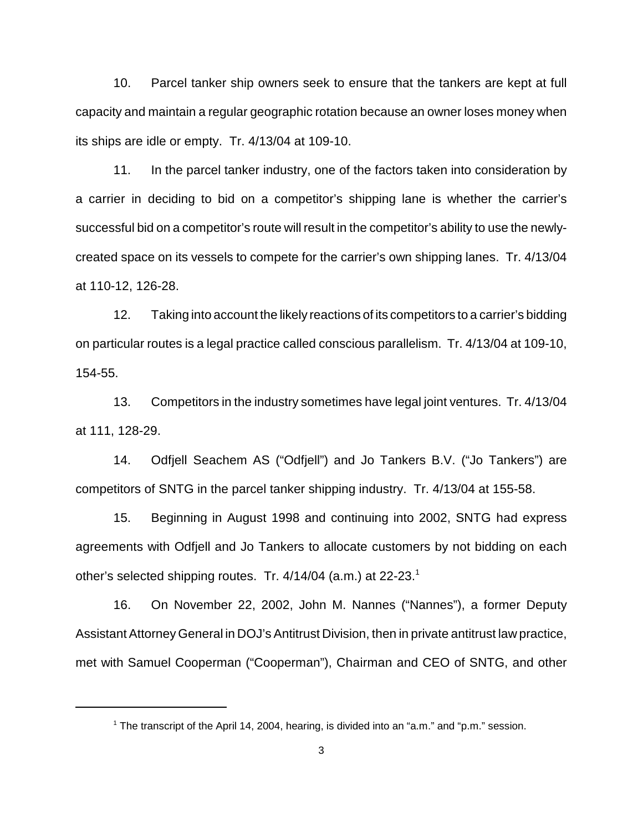10. Parcel tanker ship owners seek to ensure that the tankers are kept at full capacity and maintain a regular geographic rotation because an owner loses money when its ships are idle or empty. Tr. 4/13/04 at 109-10.

11. In the parcel tanker industry, one of the factors taken into consideration by a carrier in deciding to bid on a competitor's shipping lane is whether the carrier's successful bid on a competitor's route will result in the competitor's ability to use the newlycreated space on its vessels to compete for the carrier's own shipping lanes. Tr. 4/13/04 at 110-12, 126-28.

12. Taking into account the likely reactions of its competitors to a carrier's bidding on particular routes is a legal practice called conscious parallelism. Tr. 4/13/04 at 109-10, 154-55.

13. Competitors in the industry sometimes have legal joint ventures. Tr. 4/13/04 at 111, 128-29.

14. Odfjell Seachem AS ("Odfjell") and Jo Tankers B.V. ("Jo Tankers") are competitors of SNTG in the parcel tanker shipping industry. Tr. 4/13/04 at 155-58.

15. Beginning in August 1998 and continuing into 2002, SNTG had express agreements with Odfjell and Jo Tankers to allocate customers by not bidding on each other's selected shipping routes. Tr. 4/14/04 (a.m.) at 22-23.<sup>1</sup>

16. On November 22, 2002, John M. Nannes ("Nannes"), a former Deputy Assistant Attorney General in DOJ's Antitrust Division, then in private antitrust law practice, met with Samuel Cooperman ("Cooperman"), Chairman and CEO of SNTG, and other

<sup>&</sup>lt;sup>1</sup> The transcript of the April 14, 2004, hearing, is divided into an "a.m." and "p.m." session.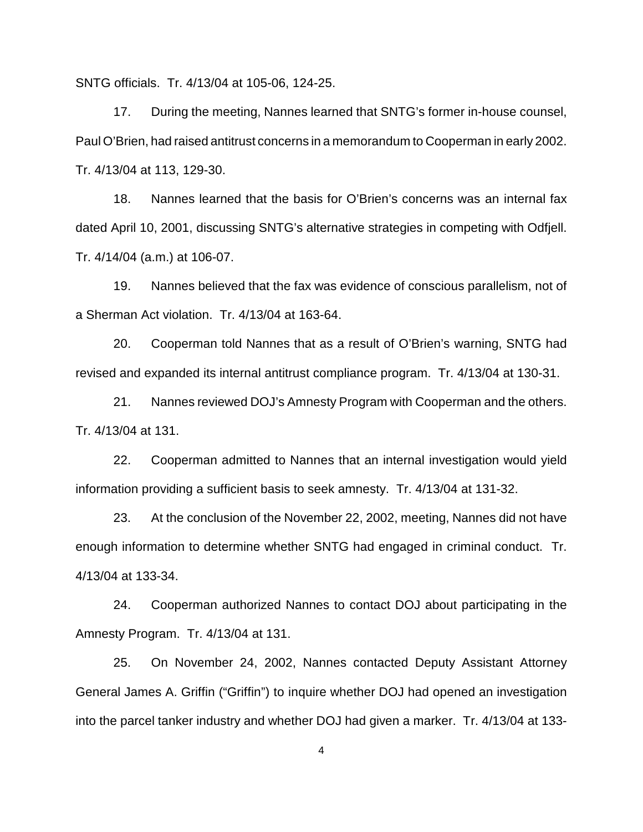SNTG officials. Tr. 4/13/04 at 105-06, 124-25.

17. During the meeting, Nannes learned that SNTG's former in-house counsel, Paul O'Brien, had raised antitrust concerns in a memorandum to Cooperman in early 2002. Tr. 4/13/04 at 113, 129-30.

18. Nannes learned that the basis for O'Brien's concerns was an internal fax dated April 10, 2001, discussing SNTG's alternative strategies in competing with Odfjell. Tr. 4/14/04 (a.m.) at 106-07.

19. Nannes believed that the fax was evidence of conscious parallelism, not of a Sherman Act violation. Tr. 4/13/04 at 163-64.

20. Cooperman told Nannes that as a result of O'Brien's warning, SNTG had revised and expanded its internal antitrust compliance program. Tr. 4/13/04 at 130-31.

21. Nannes reviewed DOJ's Amnesty Program with Cooperman and the others. Tr. 4/13/04 at 131.

22. Cooperman admitted to Nannes that an internal investigation would yield information providing a sufficient basis to seek amnesty. Tr. 4/13/04 at 131-32.

23. At the conclusion of the November 22, 2002, meeting, Nannes did not have enough information to determine whether SNTG had engaged in criminal conduct. Tr. 4/13/04 at 133-34.

24. Cooperman authorized Nannes to contact DOJ about participating in the Amnesty Program. Tr. 4/13/04 at 131.

25. On November 24, 2002, Nannes contacted Deputy Assistant Attorney General James A. Griffin ("Griffin") to inquire whether DOJ had opened an investigation into the parcel tanker industry and whether DOJ had given a marker. Tr. 4/13/04 at 133-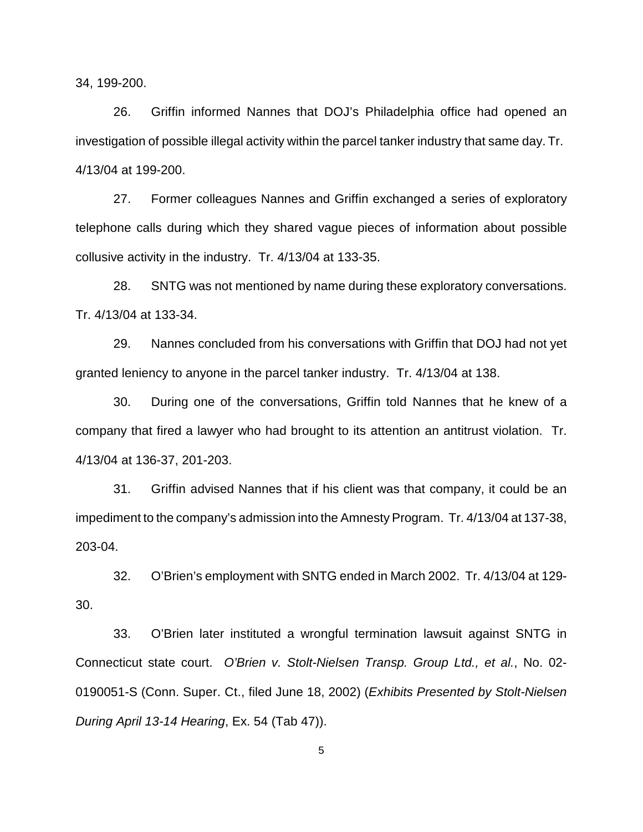34, 199-200.

26. Griffin informed Nannes that DOJ's Philadelphia office had opened an investigation of possible illegal activity within the parcel tanker industry that same day. Tr. 4/13/04 at 199-200.

27. Former colleagues Nannes and Griffin exchanged a series of exploratory telephone calls during which they shared vague pieces of information about possible collusive activity in the industry. Tr. 4/13/04 at 133-35.

28. SNTG was not mentioned by name during these exploratory conversations. Tr. 4/13/04 at 133-34.

29. Nannes concluded from his conversations with Griffin that DOJ had not yet granted leniency to anyone in the parcel tanker industry. Tr. 4/13/04 at 138.

30. During one of the conversations, Griffin told Nannes that he knew of a company that fired a lawyer who had brought to its attention an antitrust violation. Tr. 4/13/04 at 136-37, 201-203.

31. Griffin advised Nannes that if his client was that company, it could be an impediment to the company's admission into the Amnesty Program. Tr. 4/13/04 at 137-38, 203-04.

32. O'Brien's employment with SNTG ended in March 2002. Tr. 4/13/04 at 129- 30.

33. O'Brien later instituted a wrongful termination lawsuit against SNTG in Connecticut state court. O'Brien v. Stolt-Nielsen Transp. Group Ltd., et al., No. 02- 0190051-S (Conn. Super. Ct., filed June 18, 2002) (Exhibits Presented by Stolt-Nielsen During April 13-14 Hearing, Ex. 54 (Tab 47)).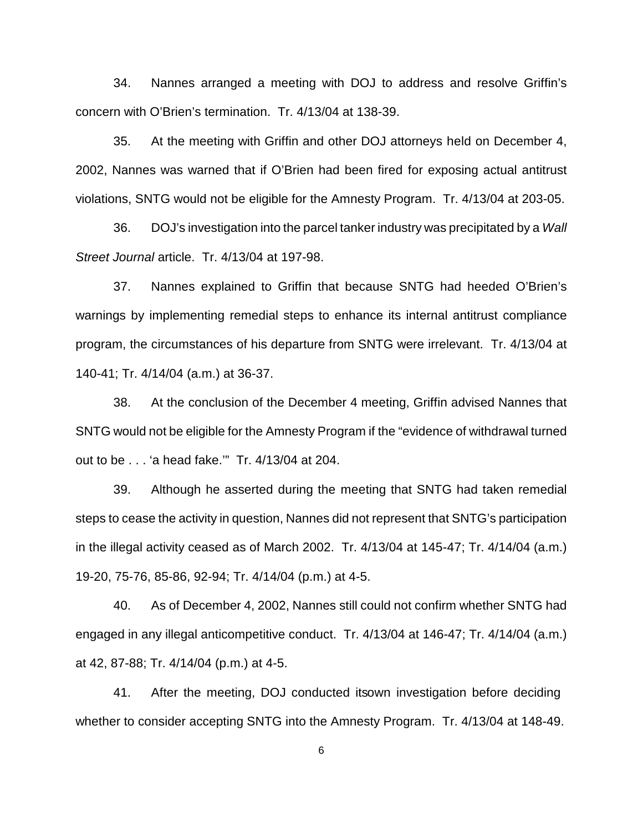34. Nannes arranged a meeting with DOJ to address and resolve Griffin's concern with O'Brien's termination. Tr. 4/13/04 at 138-39.

35. At the meeting with Griffin and other DOJ attorneys held on December 4, 2002, Nannes was warned that if O'Brien had been fired for exposing actual antitrust violations, SNTG would not be eligible for the Amnesty Program. Tr. 4/13/04 at 203-05.

36. DOJ's investigation into the parcel tanker industry was precipitated by a Wall Street Journal article. Tr. 4/13/04 at 197-98.

37. Nannes explained to Griffin that because SNTG had heeded O'Brien's warnings by implementing remedial steps to enhance its internal antitrust compliance program, the circumstances of his departure from SNTG were irrelevant. Tr. 4/13/04 at 140-41; Tr. 4/14/04 (a.m.) at 36-37.

38. At the conclusion of the December 4 meeting, Griffin advised Nannes that SNTG would not be eligible for the Amnesty Program if the "evidence of withdrawal turned out to be . . . 'a head fake.'" Tr. 4/13/04 at 204.

39. Although he asserted during the meeting that SNTG had taken remedial steps to cease the activity in question, Nannes did not represent that SNTG's participation in the illegal activity ceased as of March 2002. Tr. 4/13/04 at 145-47; Tr. 4/14/04 (a.m.) 19-20, 75-76, 85-86, 92-94; Tr. 4/14/04 (p.m.) at 4-5.

40. As of December 4, 2002, Nannes still could not confirm whether SNTG had engaged in any illegal anticompetitive conduct. Tr. 4/13/04 at 146-47; Tr. 4/14/04 (a.m.) at 42, 87-88; Tr. 4/14/04 (p.m.) at 4-5.

41. After the meeting, DOJ conducted its own investigation before deciding whether to consider accepting SNTG into the Amnesty Program. Tr. 4/13/04 at 148-49.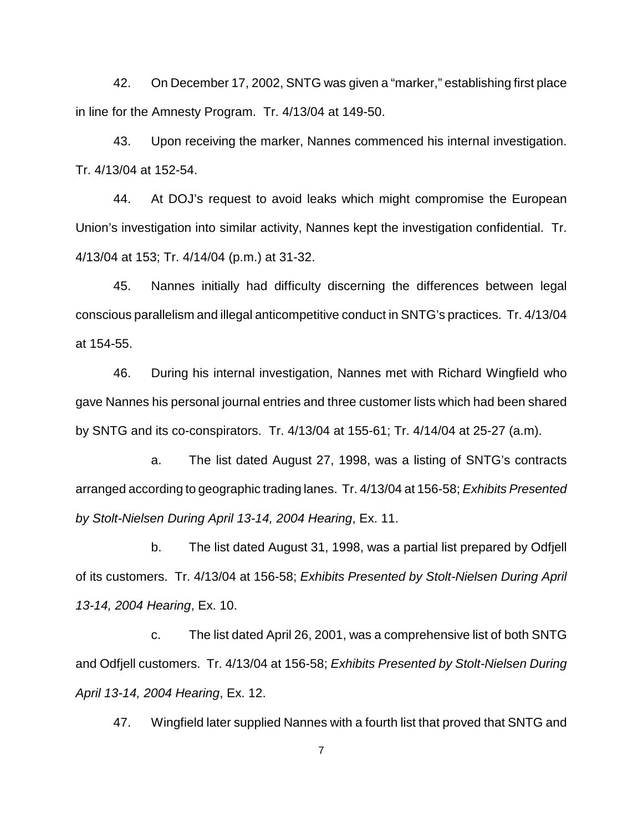42. On December 17, 2002, SNTG was given a "marker," establishing first place in line for the Amnesty Program. Tr. 4/13/04 at 149-50.

43. Upon receiving the marker, Nannes commenced his internal investigation. Tr. 4/13/04 at 152-54.

44. At DOJ's request to avoid leaks which might compromise the European Union's investigation into similar activity, Nannes kept the investigation confidential. Tr. 4/13/04 at 153; Tr. 4/14/04 (p.m.) at 31-32.

45. Nannes initially had difficulty discerning the differences between legal conscious parallelism and illegal anticompetitive conduct in SNTG's practices. Tr. 4/13/04 at 154-55.

46. During his internal investigation, Nannes met with Richard Wingfield who gave Nannes his personal journal entries and three customer lists which had been shared by SNTG and its co-conspirators. Tr. 4/13/04 at 155-61; Tr. 4/14/04 at 25-27 (a.m).

a. The list dated August 27, 1998, was a listing of SNTG's contracts arranged according to geographic trading lanes. Tr. 4/13/04 at 156-58; Exhibits Presented by Stolt-Nielsen During April 13-14, 2004 Hearing, Ex. 11.

b. The list dated August 31, 1998, was a partial list prepared by Odfjell of its customers. Tr. 4/13/04 at 156-58; Exhibits Presented by Stolt-Nielsen During April 13-14, 2004 Hearing, Ex. 10.

c. The list dated April 26, 2001, was a comprehensive list of both SNTG and Odfjell customers. Tr. 4/13/04 at 156-58; Exhibits Presented by Stolt-Nielsen During April 13-14, 2004 Hearing, Ex. 12.

47. Wingfield later supplied Nannes with a fourth list that proved that SNTG and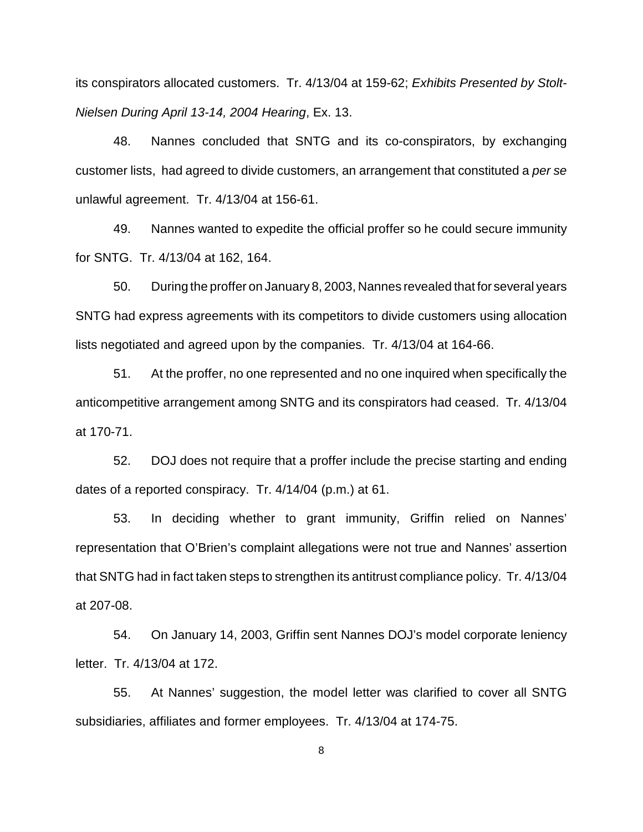its conspirators allocated customers. Tr. 4/13/04 at 159-62; Exhibits Presented by Stolt-Nielsen During April 13-14, 2004 Hearing, Ex. 13.

48. Nannes concluded that SNTG and its co-conspirators, by exchanging customer lists, had agreed to divide customers, an arrangement that constituted a per se unlawful agreement. Tr. 4/13/04 at 156-61.

49. Nannes wanted to expedite the official proffer so he could secure immunity for SNTG. Tr. 4/13/04 at 162, 164.

50. During the proffer on January 8, 2003, Nannes revealed that for several years SNTG had express agreements with its competitors to divide customers using allocation lists negotiated and agreed upon by the companies. Tr. 4/13/04 at 164-66.

51. At the proffer, no one represented and no one inquired when specifically the anticompetitive arrangement among SNTG and its conspirators had ceased. Tr. 4/13/04 at 170-71.

52. DOJ does not require that a proffer include the precise starting and ending dates of a reported conspiracy. Tr. 4/14/04 (p.m.) at 61.

53. In deciding whether to grant immunity, Griffin relied on Nannes' representation that O'Brien's complaint allegations were not true and Nannes' assertion that SNTG had in fact taken steps to strengthen its antitrust compliance policy. Tr. 4/13/04 at 207-08.

54. On January 14, 2003, Griffin sent Nannes DOJ's model corporate leniency letter. Tr. 4/13/04 at 172.

55. At Nannes' suggestion, the model letter was clarified to cover all SNTG subsidiaries, affiliates and former employees. Tr. 4/13/04 at 174-75.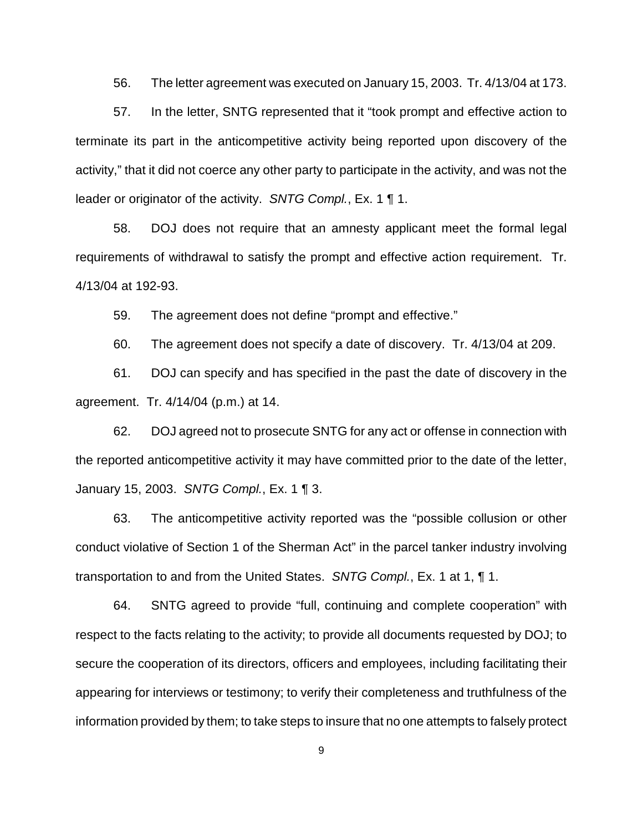56. The letter agreement was executed on January 15, 2003. Tr. 4/13/04 at 173.

57. In the letter, SNTG represented that it "took prompt and effective action to terminate its part in the anticompetitive activity being reported upon discovery of the activity," that it did not coerce any other party to participate in the activity, and was not the leader or originator of the activity. SNTG Compl., Ex. 1 ¶ 1.

58. DOJ does not require that an amnesty applicant meet the formal legal requirements of withdrawal to satisfy the prompt and effective action requirement. Tr. 4/13/04 at 192-93.

59. The agreement does not define "prompt and effective."

60. The agreement does not specify a date of discovery. Tr. 4/13/04 at 209.

61. DOJ can specify and has specified in the past the date of discovery in the agreement. Tr. 4/14/04 (p.m.) at 14.

62. DOJ agreed not to prosecute SNTG for any act or offense in connection with the reported anticompetitive activity it may have committed prior to the date of the letter, January 15, 2003. SNTG Compl., Ex. 1 ¶ 3.

63. The anticompetitive activity reported was the "possible collusion or other conduct violative of Section 1 of the Sherman Act" in the parcel tanker industry involving transportation to and from the United States. SNTG Compl., Ex. 1 at 1, ¶ 1.

64. SNTG agreed to provide "full, continuing and complete cooperation" with respect to the facts relating to the activity; to provide all documents requested by DOJ; to secure the cooperation of its directors, officers and employees, including facilitating their appearing for interviews or testimony; to verify their completeness and truthfulness of the information provided by them; to take steps to insure that no one attempts to falsely protect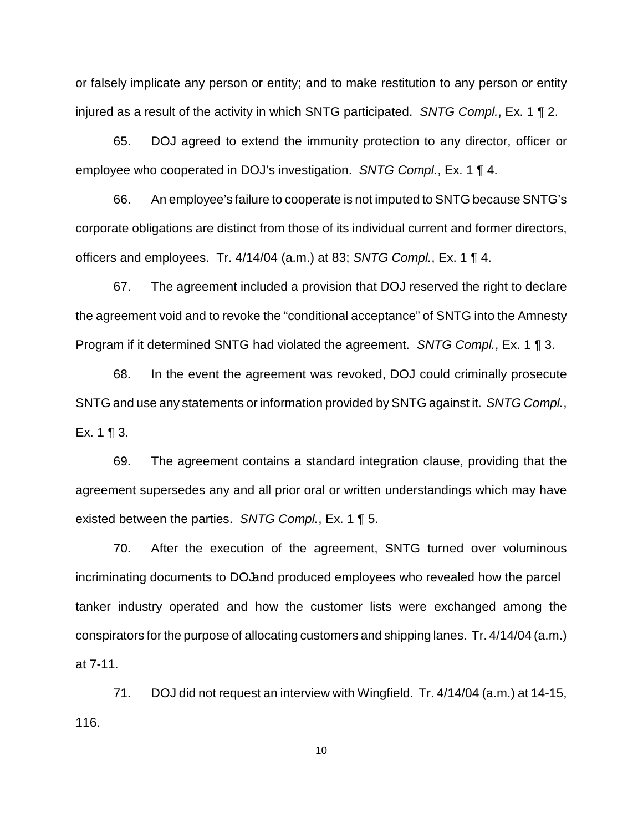or falsely implicate any person or entity; and to make restitution to any person or entity injured as a result of the activity in which SNTG participated. SNTG Compl., Ex. 1 ¶ 2.

65. DOJ agreed to extend the immunity protection to any director, officer or employee who cooperated in DOJ's investigation. SNTG Compl., Ex. 1 ¶ 4.

66. An employee's failure to cooperate is not imputed to SNTG because SNTG's corporate obligations are distinct from those of its individual current and former directors, officers and employees. Tr. 4/14/04 (a.m.) at 83; SNTG Compl., Ex. 1 ¶ 4.

67. The agreement included a provision that DOJ reserved the right to declare the agreement void and to revoke the "conditional acceptance" of SNTG into the Amnesty Program if it determined SNTG had violated the agreement. SNTG Compl., Ex. 1 ¶ 3.

68. In the event the agreement was revoked, DOJ could criminally prosecute SNTG and use any statements or information provided by SNTG against it. SNTG Compl., Ex. 1 ¶ 3.

69. The agreement contains a standard integration clause, providing that the agreement supersedes any and all prior oral or written understandings which may have existed between the parties. SNTG Compl., Ex. 1 ¶ 5.

70. After the execution of the agreement, SNTG turned over voluminous incriminating documents to DO and produced employees who revealed how the parcel tanker industry operated and how the customer lists were exchanged among the conspirators for the purpose of allocating customers and shipping lanes. Tr. 4/14/04 (a.m.) at 7-11.

71. DOJ did not request an interview with Wingfield. Tr. 4/14/04 (a.m.) at 14-15, 116.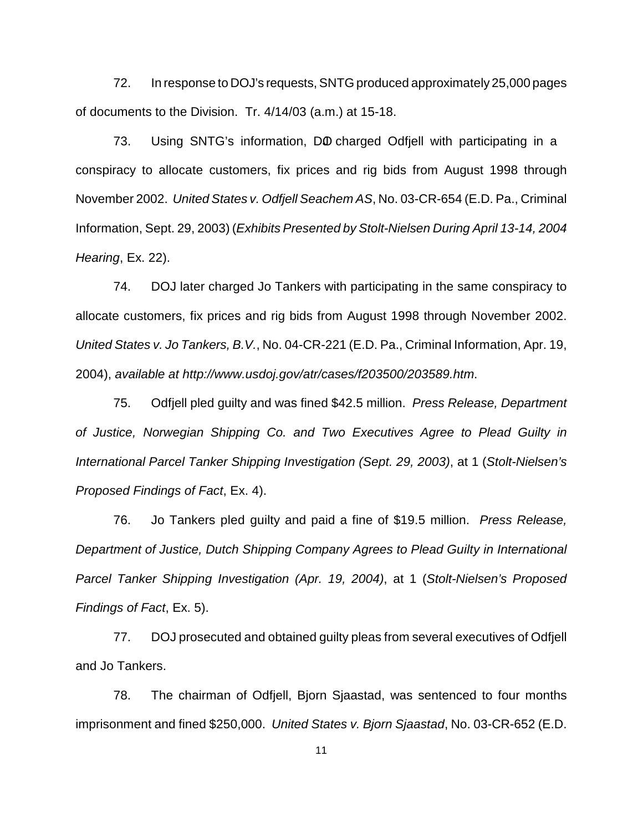72. In response to DOJ's requests, SNTG produced approximately 25,000 pages of documents to the Division. Tr. 4/14/03 (a.m.) at 15-18.

73. Using SNTG's information, DO charged Odfiell with participating in a conspiracy to allocate customers, fix prices and rig bids from August 1998 through November 2002. United States v. Odfjell Seachem AS, No. 03-CR-654 (E.D. Pa., Criminal Information, Sept. 29, 2003) (Exhibits Presented by Stolt-Nielsen During April 13-14, 2004 Hearing, Ex. 22).

74. DOJ later charged Jo Tankers with participating in the same conspiracy to allocate customers, fix prices and rig bids from August 1998 through November 2002. United States v. Jo Tankers, B.V., No. 04-CR-221 (E.D. Pa., Criminal Information, Apr. 19, 2004), available at http://www.usdoj.gov/atr/cases/f203500/203589.htm.

75. Odfiell pled guilty and was fined \$42.5 million. Press Release, Department of Justice, Norwegian Shipping Co. and Two Executives Agree to Plead Guilty in International Parcel Tanker Shipping Investigation (Sept. 29, 2003), at 1 (Stolt-Nielsen's Proposed Findings of Fact, Ex. 4).

76. Jo Tankers pled guilty and paid a fine of \$19.5 million. Press Release, Department of Justice, Dutch Shipping Company Agrees to Plead Guilty in International Parcel Tanker Shipping Investigation (Apr. 19, 2004), at 1 (Stolt-Nielsen's Proposed Findings of Fact, Ex. 5).

77. DOJ prosecuted and obtained guilty pleas from several executives of Odfjell and Jo Tankers.

78. The chairman of Odfjell, Bjorn Sjaastad, was sentenced to four months imprisonment and fined \$250,000. United States v. Bjorn Sjaastad, No. 03-CR-652 (E.D.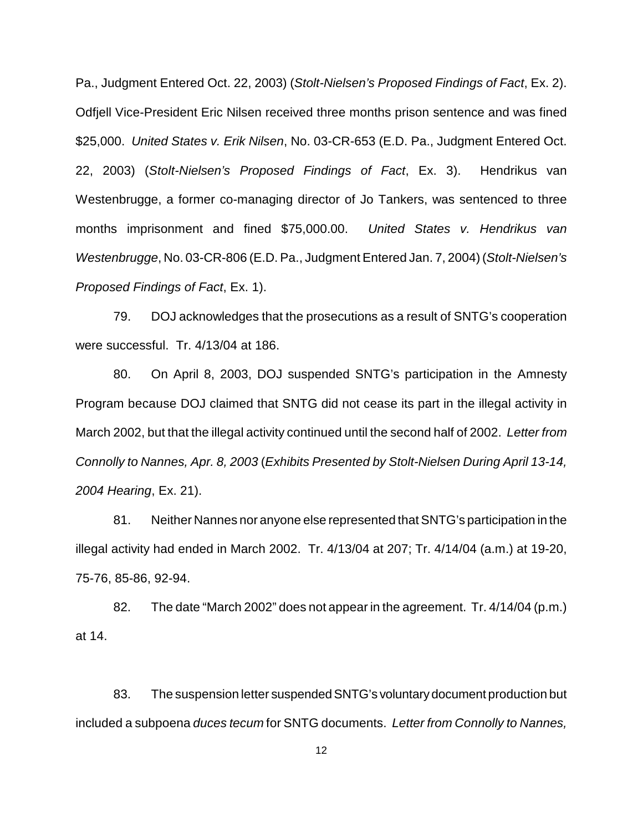Pa., Judgment Entered Oct. 22, 2003) (Stolt-Nielsen's Proposed Findings of Fact, Ex. 2). Odfjell Vice-President Eric Nilsen received three months prison sentence and was fined \$25,000. United States v. Erik Nilsen, No. 03-CR-653 (E.D. Pa., Judgment Entered Oct. 22, 2003) (Stolt-Nielsen's Proposed Findings of Fact, Ex. 3). Hendrikus van Westenbrugge, a former co-managing director of Jo Tankers, was sentenced to three months imprisonment and fined \$75,000.00. United States v. Hendrikus van Westenbrugge, No. 03-CR-806 (E.D. Pa., Judgment Entered Jan. 7, 2004) (Stolt-Nielsen's Proposed Findings of Fact, Ex. 1).

79. DOJ acknowledges that the prosecutions as a result of SNTG's cooperation were successful. Tr. 4/13/04 at 186.

80. On April 8, 2003, DOJ suspended SNTG's participation in the Amnesty Program because DOJ claimed that SNTG did not cease its part in the illegal activity in March 2002, but that the illegal activity continued until the second half of 2002. Letter from Connolly to Nannes, Apr. 8, 2003 (Exhibits Presented by Stolt-Nielsen During April 13-14, 2004 Hearing, Ex. 21).

81. Neither Nannes nor anyone else represented thatSNTG's participation in the illegal activity had ended in March 2002. Tr. 4/13/04 at 207; Tr. 4/14/04 (a.m.) at 19-20, 75-76, 85-86, 92-94.

82. The date "March 2002" does not appear in the agreement. Tr. 4/14/04 (p.m.) at 14.

83. The suspension letter suspended SNTG's voluntary document production but included a subpoena duces tecum for SNTG documents. Letter from Connolly to Nannes,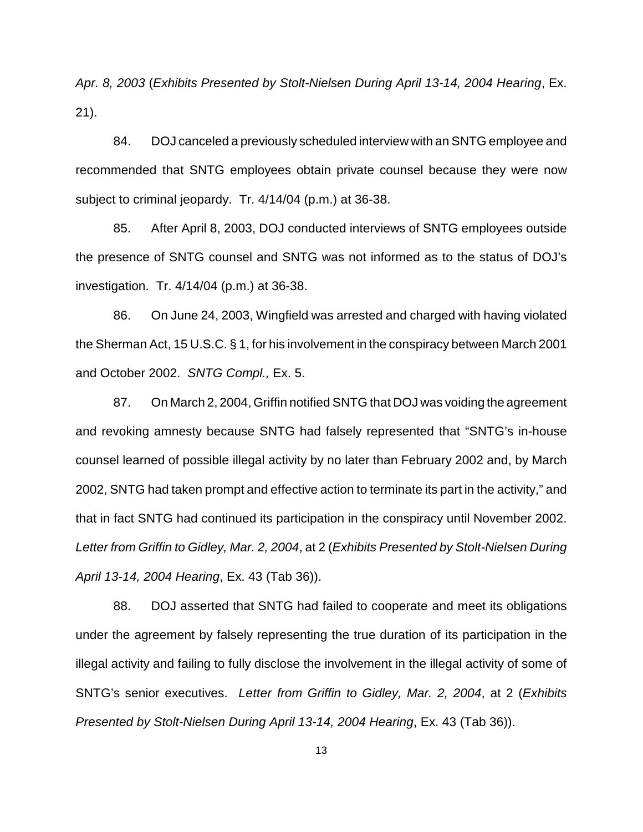Apr. 8, 2003 (Exhibits Presented by Stolt-Nielsen During April 13-14, 2004 Hearing, Ex. 21).

84. DOJ canceled a previously scheduled interview with an SNTG employee and recommended that SNTG employees obtain private counsel because they were now subject to criminal jeopardy. Tr. 4/14/04 (p.m.) at 36-38.

85. After April 8, 2003, DOJ conducted interviews of SNTG employees outside the presence of SNTG counsel and SNTG was not informed as to the status of DOJ's investigation. Tr. 4/14/04 (p.m.) at 36-38.

86. On June 24, 2003, Wingfield was arrested and charged with having violated the Sherman Act, 15 U.S.C. § 1, for his involvement in the conspiracy between March 2001 and October 2002. SNTG Compl., Ex. 5.

87. On March 2, 2004, Griffin notified SNTG that DOJ was voiding the agreement and revoking amnesty because SNTG had falsely represented that "SNTG's in-house counsel learned of possible illegal activity by no later than February 2002 and, by March 2002, SNTG had taken prompt and effective action to terminate its part in the activity," and that in fact SNTG had continued its participation in the conspiracy until November 2002. Letter from Griffin to Gidley, Mar. 2, 2004, at 2 (Exhibits Presented by Stolt-Nielsen During April 13-14, 2004 Hearing, Ex. 43 (Tab 36)).

88. DOJ asserted that SNTG had failed to cooperate and meet its obligations under the agreement by falsely representing the true duration of its participation in the illegal activity and failing to fully disclose the involvement in the illegal activity of some of SNTG's senior executives. Letter from Griffin to Gidley, Mar. 2, 2004, at 2 (Exhibits Presented by Stolt-Nielsen During April 13-14, 2004 Hearing, Ex. 43 (Tab 36)).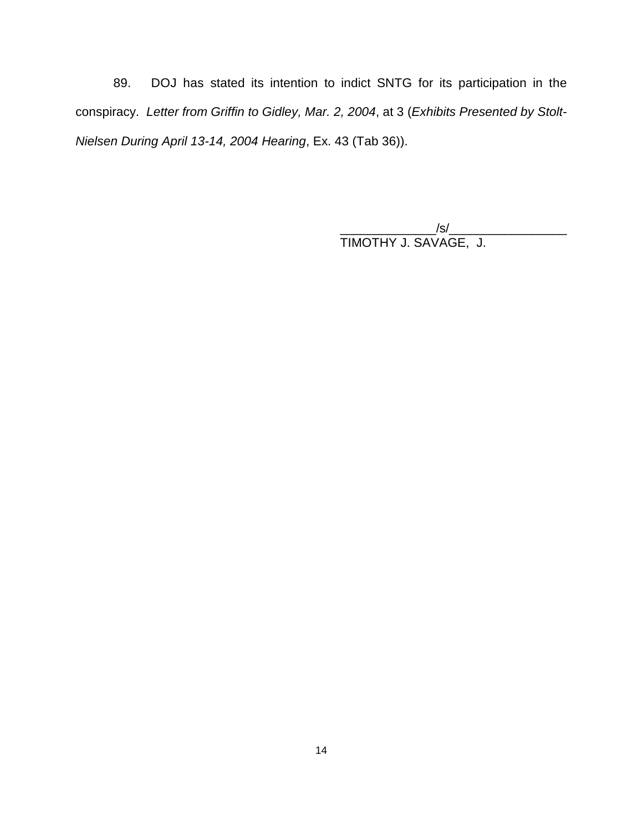89. DOJ has stated its intention to indict SNTG for its participation in the conspiracy. Letter from Griffin to Gidley, Mar. 2, 2004, at 3 (Exhibits Presented by Stolt-Nielsen During April 13-14, 2004 Hearing, Ex. 43 (Tab 36)).

> $\sqrt{\text{s}}/\text{c}$ TIMOTHY J. SAVAGE, J.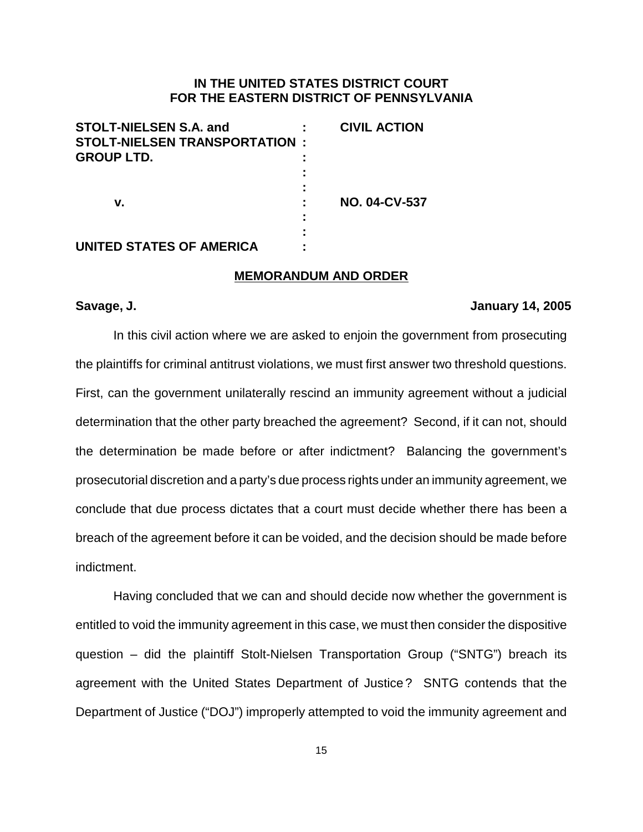### **IN THE UNITED STATES DISTRICT COURT FOR THE EASTERN DISTRICT OF PENNSYLVANIA**

| <b>STOLT-NIELSEN S.A. and</b><br><b>STOLT-NIELSEN TRANSPORTATION:</b><br><b>GROUP LTD.</b> | <b>CIVIL ACTION</b>  |
|--------------------------------------------------------------------------------------------|----------------------|
| v.                                                                                         | <b>NO. 04-CV-537</b> |
| <b>UNITED STATES OF AMERICA</b>                                                            |                      |

#### **MEMORANDUM AND ORDER**

#### **Savage, J. January 14, 2005**

In this civil action where we are asked to enjoin the government from prosecuting the plaintiffs for criminal antitrust violations, we must first answer two threshold questions. First, can the government unilaterally rescind an immunity agreement without a judicial determination that the other party breached the agreement? Second, if it can not, should the determination be made before or after indictment? Balancing the government's prosecutorial discretion and a party's due process rights under an immunity agreement, we conclude that due process dictates that a court must decide whether there has been a breach of the agreement before it can be voided, and the decision should be made before indictment.

Having concluded that we can and should decide now whether the government is entitled to void the immunity agreement in this case, we must then consider the dispositive question – did the plaintiff Stolt-Nielsen Transportation Group ("SNTG") breach its agreement with the United States Department of Justice ? SNTG contends that the Department of Justice ("DOJ") improperly attempted to void the immunity agreement and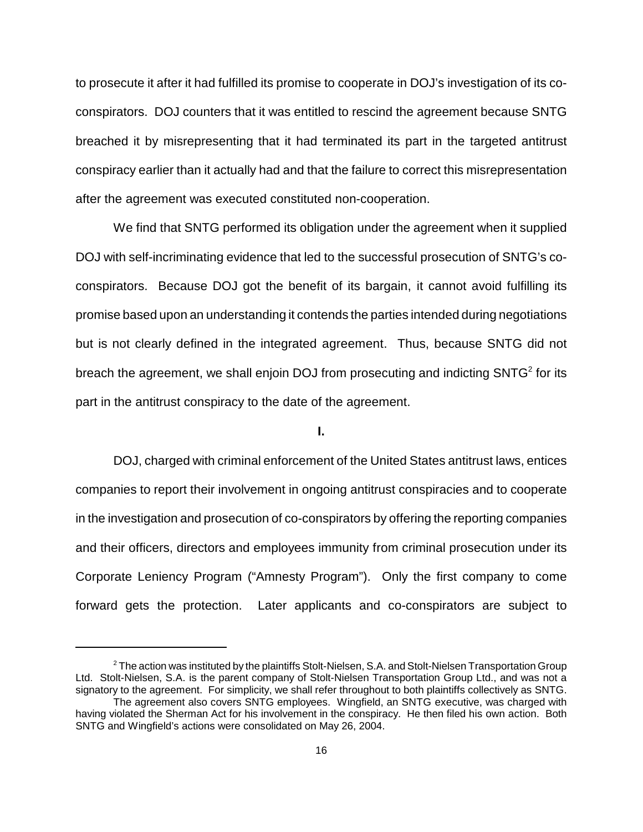to prosecute it after it had fulfilled its promise to cooperate in DOJ's investigation of its coconspirators. DOJ counters that it was entitled to rescind the agreement because SNTG breached it by misrepresenting that it had terminated its part in the targeted antitrust conspiracy earlier than it actually had and that the failure to correct this misrepresentation after the agreement was executed constituted non-cooperation.

We find that SNTG performed its obligation under the agreement when it supplied DOJ with self-incriminating evidence that led to the successful prosecution of SNTG's coconspirators. Because DOJ got the benefit of its bargain, it cannot avoid fulfilling its promise based upon an understanding it contends the parties intended during negotiations but is not clearly defined in the integrated agreement. Thus, because SNTG did not breach the agreement, we shall enjoin DOJ from prosecuting and indicting SNTG<sup>2</sup> for its part in the antitrust conspiracy to the date of the agreement.

### **I.**

DOJ, charged with criminal enforcement of the United States antitrust laws, entices companies to report their involvement in ongoing antitrust conspiracies and to cooperate in the investigation and prosecution of co-conspirators by offering the reporting companies and their officers, directors and employees immunity from criminal prosecution under its Corporate Leniency Program ("Amnesty Program"). Only the first company to come forward gets the protection. Later applicants and co-conspirators are subject to

 $2$  The action was instituted by the plaintiffs Stolt-Nielsen, S.A. and Stolt-Nielsen Transportation Group Ltd. Stolt-Nielsen, S.A. is the parent company of Stolt-Nielsen Transportation Group Ltd., and was not a signatory to the agreement. For simplicity, we shall refer throughout to both plaintiffs collectively as SNTG.

The agreement also covers SNTG employees. Wingfield, an SNTG executive, was charged with having violated the Sherman Act for his involvement in the conspiracy. He then filed his own action. Both SNTG and Wingfield's actions were consolidated on May 26, 2004.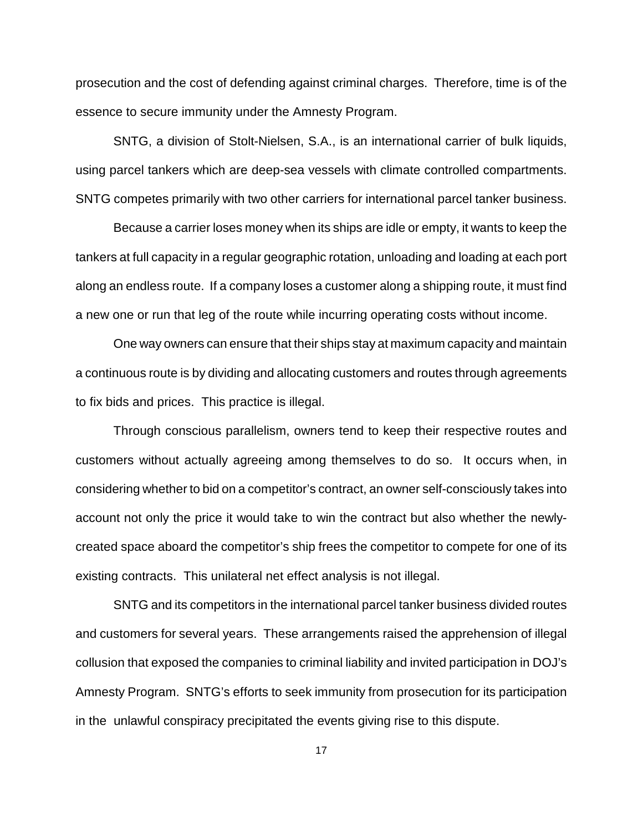prosecution and the cost of defending against criminal charges. Therefore, time is of the essence to secure immunity under the Amnesty Program.

SNTG, a division of Stolt-Nielsen, S.A., is an international carrier of bulk liquids, using parcel tankers which are deep-sea vessels with climate controlled compartments. SNTG competes primarily with two other carriers for international parcel tanker business.

Because a carrier loses money when its ships are idle or empty, it wants to keep the tankers at full capacity in a regular geographic rotation, unloading and loading at each port along an endless route. If a company loses a customer along a shipping route, it must find a new one or run that leg of the route while incurring operating costs without income.

One way owners can ensure that their ships stay at maximum capacity and maintain a continuous route is by dividing and allocating customers and routes through agreements to fix bids and prices. This practice is illegal.

Through conscious parallelism, owners tend to keep their respective routes and customers without actually agreeing among themselves to do so. It occurs when, in considering whether to bid on a competitor's contract, an owner self-consciously takes into account not only the price it would take to win the contract but also whether the newlycreated space aboard the competitor's ship frees the competitor to compete for one of its existing contracts. This unilateral net effect analysis is not illegal.

SNTG and its competitors in the international parcel tanker business divided routes and customers for several years. These arrangements raised the apprehension of illegal collusion that exposed the companies to criminal liability and invited participation in DOJ's Amnesty Program. SNTG's efforts to seek immunity from prosecution for its participation in the unlawful conspiracy precipitated the events giving rise to this dispute.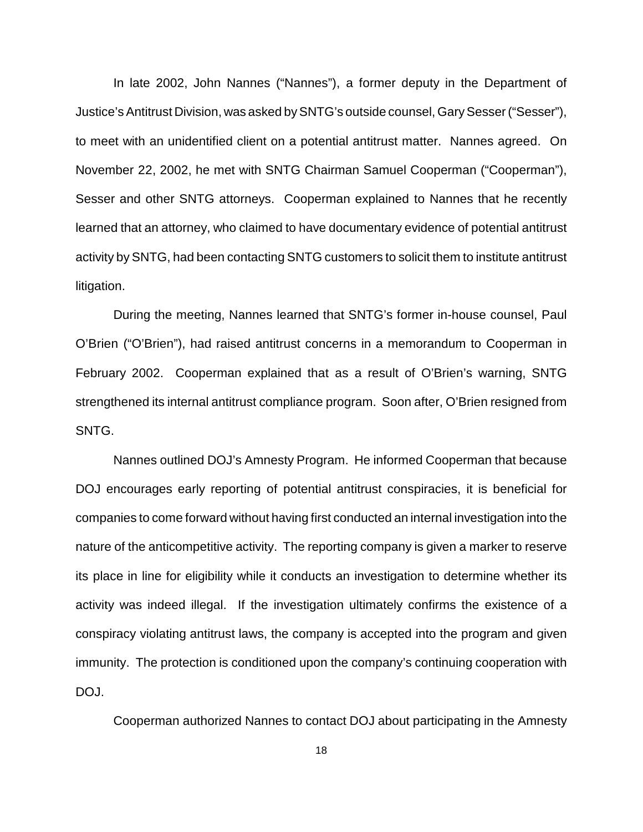In late 2002, John Nannes ("Nannes"), a former deputy in the Department of Justice's Antitrust Division, was asked by SNTG's outside counsel, Gary Sesser ("Sesser"), to meet with an unidentified client on a potential antitrust matter. Nannes agreed. On November 22, 2002, he met with SNTG Chairman Samuel Cooperman ("Cooperman"), Sesser and other SNTG attorneys. Cooperman explained to Nannes that he recently learned that an attorney, who claimed to have documentary evidence of potential antitrust activity by SNTG, had been contacting SNTG customers to solicit them to institute antitrust litigation.

During the meeting, Nannes learned that SNTG's former in-house counsel, Paul O'Brien ("O'Brien"), had raised antitrust concerns in a memorandum to Cooperman in February 2002. Cooperman explained that as a result of O'Brien's warning, SNTG strengthened its internal antitrust compliance program. Soon after, O'Brien resigned from SNTG.

Nannes outlined DOJ's Amnesty Program. He informed Cooperman that because DOJ encourages early reporting of potential antitrust conspiracies, it is beneficial for companies to come forward without having first conducted an internal investigation into the nature of the anticompetitive activity. The reporting company is given a marker to reserve its place in line for eligibility while it conducts an investigation to determine whether its activity was indeed illegal. If the investigation ultimately confirms the existence of a conspiracy violating antitrust laws, the company is accepted into the program and given immunity. The protection is conditioned upon the company's continuing cooperation with DOJ.

Cooperman authorized Nannes to contact DOJ about participating in the Amnesty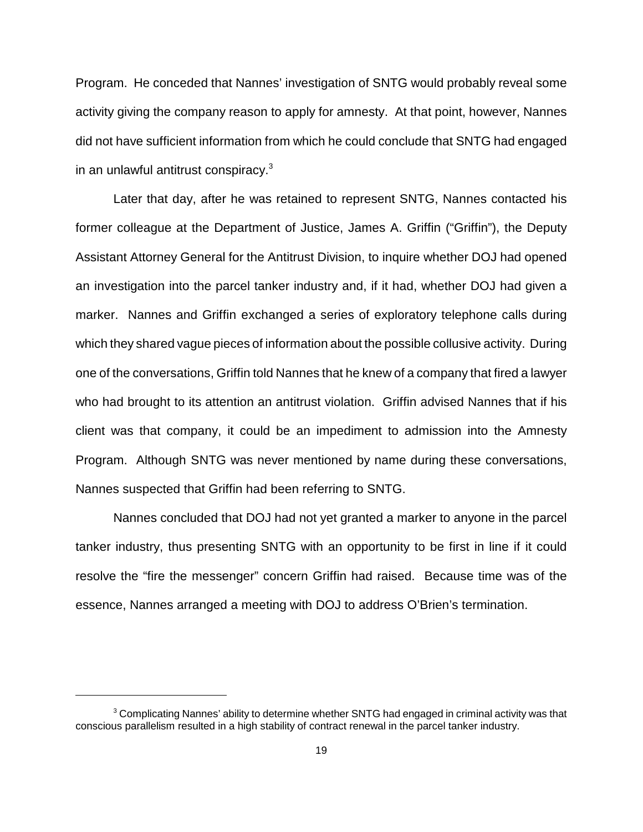Program. He conceded that Nannes' investigation of SNTG would probably reveal some activity giving the company reason to apply for amnesty. At that point, however, Nannes did not have sufficient information from which he could conclude that SNTG had engaged in an unlawful antitrust conspiracy.<sup>3</sup>

Later that day, after he was retained to represent SNTG, Nannes contacted his former colleague at the Department of Justice, James A. Griffin ("Griffin"), the Deputy Assistant Attorney General for the Antitrust Division, to inquire whether DOJ had opened an investigation into the parcel tanker industry and, if it had, whether DOJ had given a marker. Nannes and Griffin exchanged a series of exploratory telephone calls during which they shared vague pieces of information about the possible collusive activity. During one of the conversations, Griffin told Nannes that he knew of a company that fired a lawyer who had brought to its attention an antitrust violation. Griffin advised Nannes that if his client was that company, it could be an impediment to admission into the Amnesty Program. Although SNTG was never mentioned by name during these conversations, Nannes suspected that Griffin had been referring to SNTG.

Nannes concluded that DOJ had not yet granted a marker to anyone in the parcel tanker industry, thus presenting SNTG with an opportunity to be first in line if it could resolve the "fire the messenger" concern Griffin had raised. Because time was of the essence, Nannes arranged a meeting with DOJ to address O'Brien's termination.

 $3$  Complicating Nannes' ability to determine whether SNTG had engaged in criminal activity was that conscious parallelism resulted in a high stability of contract renewal in the parcel tanker industry.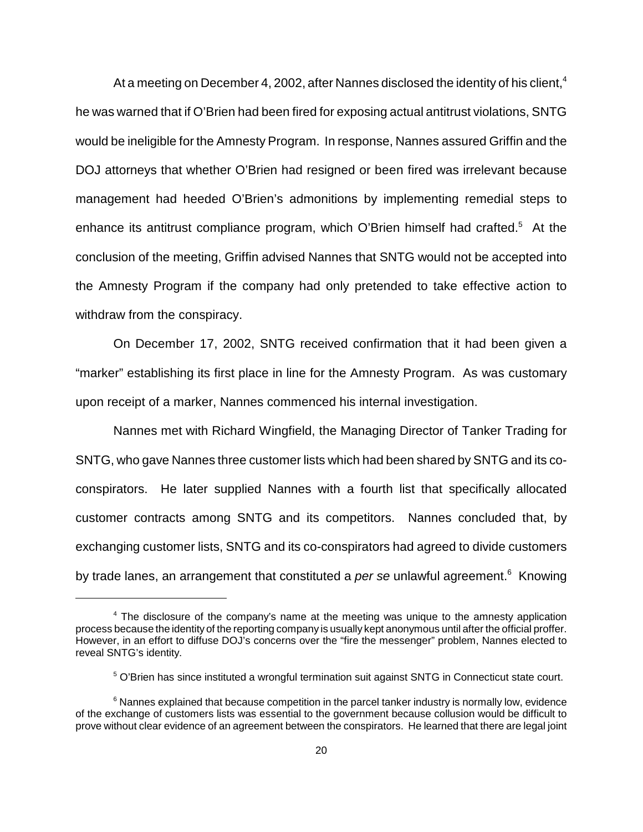At a meeting on December 4, 2002, after Nannes disclosed the identity of his client,<sup>4</sup> he was warned that if O'Brien had been fired for exposing actual antitrust violations, SNTG would be ineligible for the Amnesty Program. In response, Nannes assured Griffin and the DOJ attorneys that whether O'Brien had resigned or been fired was irrelevant because management had heeded O'Brien's admonitions by implementing remedial steps to enhance its antitrust compliance program, which O'Brien himself had crafted. $5$  At the conclusion of the meeting, Griffin advised Nannes that SNTG would not be accepted into the Amnesty Program if the company had only pretended to take effective action to withdraw from the conspiracy.

On December 17, 2002, SNTG received confirmation that it had been given a "marker" establishing its first place in line for the Amnesty Program. As was customary upon receipt of a marker, Nannes commenced his internal investigation.

Nannes met with Richard Wingfield, the Managing Director of Tanker Trading for SNTG, who gave Nannes three customer lists which had been shared by SNTG and its coconspirators. He later supplied Nannes with a fourth list that specifically allocated customer contracts among SNTG and its competitors. Nannes concluded that, by exchanging customer lists, SNTG and its co-conspirators had agreed to divide customers by trade lanes, an arrangement that constituted a *per se* unlawful agreement.<sup>6</sup> Knowing

<sup>4</sup> The disclosure of the company's name at the meeting was unique to the amnesty application process because the identity of the reporting company is usually kept anonymous until after the official proffer. However, in an effort to diffuse DOJ's concerns over the "fire the messenger" problem, Nannes elected to reveal SNTG's identity.

<sup>&</sup>lt;sup>5</sup> O'Brien has since instituted a wrongful termination suit against SNTG in Connecticut state court.

 $6$  Nannes explained that because competition in the parcel tanker industry is normally low, evidence of the exchange of customers lists was essential to the government because collusion would be difficult to prove without clear evidence of an agreement between the conspirators. He learned that there are legal joint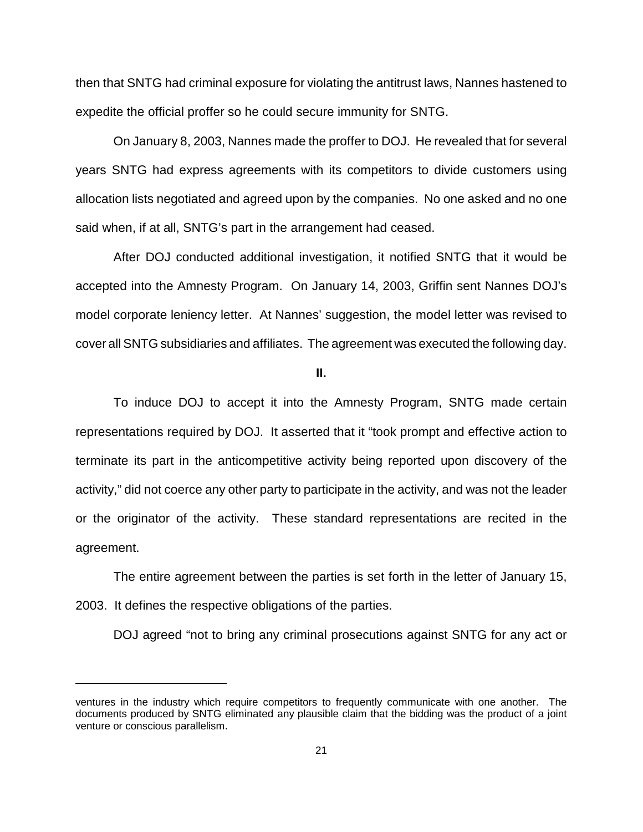then that SNTG had criminal exposure for violating the antitrust laws, Nannes hastened to expedite the official proffer so he could secure immunity for SNTG.

On January 8, 2003, Nannes made the proffer to DOJ. He revealed that for several years SNTG had express agreements with its competitors to divide customers using allocation lists negotiated and agreed upon by the companies. No one asked and no one said when, if at all, SNTG's part in the arrangement had ceased.

After DOJ conducted additional investigation, it notified SNTG that it would be accepted into the Amnesty Program. On January 14, 2003, Griffin sent Nannes DOJ's model corporate leniency letter. At Nannes' suggestion, the model letter was revised to cover all SNTG subsidiaries and affiliates. The agreement was executed the following day.

**II.**

To induce DOJ to accept it into the Amnesty Program, SNTG made certain representations required by DOJ. It asserted that it "took prompt and effective action to terminate its part in the anticompetitive activity being reported upon discovery of the activity," did not coerce any other party to participate in the activity, and was not the leader or the originator of the activity. These standard representations are recited in the agreement.

The entire agreement between the parties is set forth in the letter of January 15, 2003. It defines the respective obligations of the parties.

DOJ agreed "not to bring any criminal prosecutions against SNTG for any act or

ventures in the industry which require competitors to frequently communicate with one another. The documents produced by SNTG eliminated any plausible claim that the bidding was the product of a joint venture or conscious parallelism.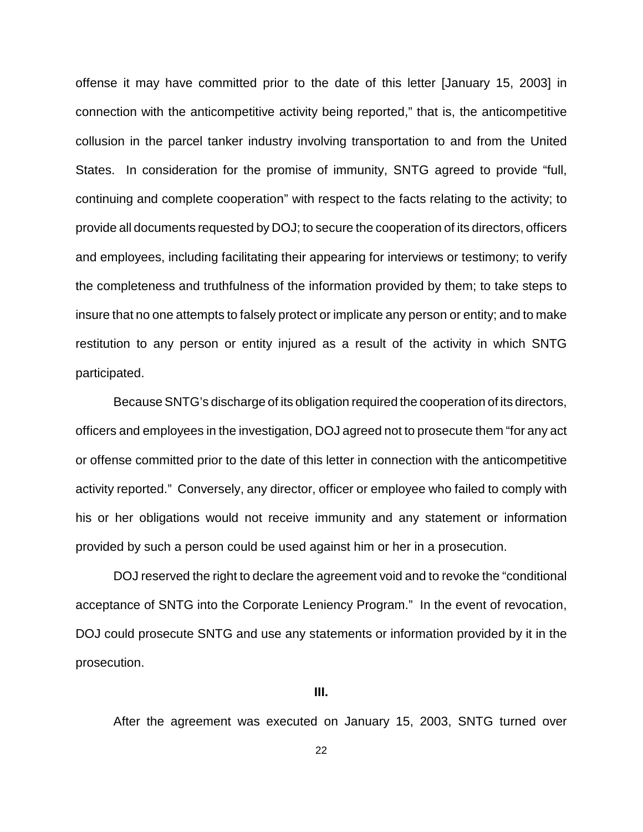offense it may have committed prior to the date of this letter [January 15, 2003] in connection with the anticompetitive activity being reported," that is, the anticompetitive collusion in the parcel tanker industry involving transportation to and from the United States. In consideration for the promise of immunity, SNTG agreed to provide "full, continuing and complete cooperation" with respect to the facts relating to the activity; to provide all documents requested by DOJ; to secure the cooperation of its directors, officers and employees, including facilitating their appearing for interviews or testimony; to verify the completeness and truthfulness of the information provided by them; to take steps to insure that no one attempts to falsely protect or implicate any person or entity; and to make restitution to any person or entity injured as a result of the activity in which SNTG participated.

Because SNTG's discharge of its obligation required the cooperation of its directors, officers and employees in the investigation, DOJ agreed not to prosecute them "for any act or offense committed prior to the date of this letter in connection with the anticompetitive activity reported." Conversely, any director, officer or employee who failed to comply with his or her obligations would not receive immunity and any statement or information provided by such a person could be used against him or her in a prosecution.

DOJ reserved the right to declare the agreement void and to revoke the "conditional acceptance of SNTG into the Corporate Leniency Program." In the event of revocation, DOJ could prosecute SNTG and use any statements or information provided by it in the prosecution.

### **III.**

After the agreement was executed on January 15, 2003, SNTG turned over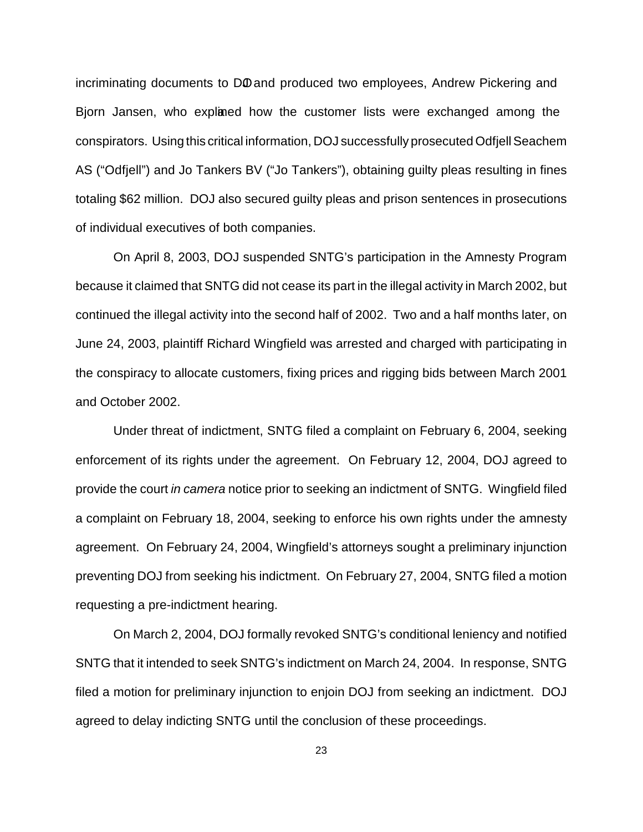incriminating documents to DO and produced two employees, Andrew Pickering and Bjorn Jansen, who explaned how the customer lists were exchanged among the conspirators. Using this critical information, DOJ successfully prosecuted Odfjell Seachem AS ("Odfjell") and Jo Tankers BV ("Jo Tankers"), obtaining guilty pleas resulting in fines totaling \$62 million. DOJ also secured guilty pleas and prison sentences in prosecutions of individual executives of both companies.

On April 8, 2003, DOJ suspended SNTG's participation in the Amnesty Program because it claimed that SNTG did not cease its part in the illegal activity in March 2002, but continued the illegal activity into the second half of 2002. Two and a half months later, on June 24, 2003, plaintiff Richard Wingfield was arrested and charged with participating in the conspiracy to allocate customers, fixing prices and rigging bids between March 2001 and October 2002.

Under threat of indictment, SNTG filed a complaint on February 6, 2004, seeking enforcement of its rights under the agreement. On February 12, 2004, DOJ agreed to provide the court in camera notice prior to seeking an indictment of SNTG. Wingfield filed a complaint on February 18, 2004, seeking to enforce his own rights under the amnesty agreement. On February 24, 2004, Wingfield's attorneys sought a preliminary injunction preventing DOJ from seeking his indictment. On February 27, 2004, SNTG filed a motion requesting a pre-indictment hearing.

On March 2, 2004, DOJ formally revoked SNTG's conditional leniency and notified SNTG that it intended to seek SNTG's indictment on March 24, 2004. In response, SNTG filed a motion for preliminary injunction to enjoin DOJ from seeking an indictment. DOJ agreed to delay indicting SNTG until the conclusion of these proceedings.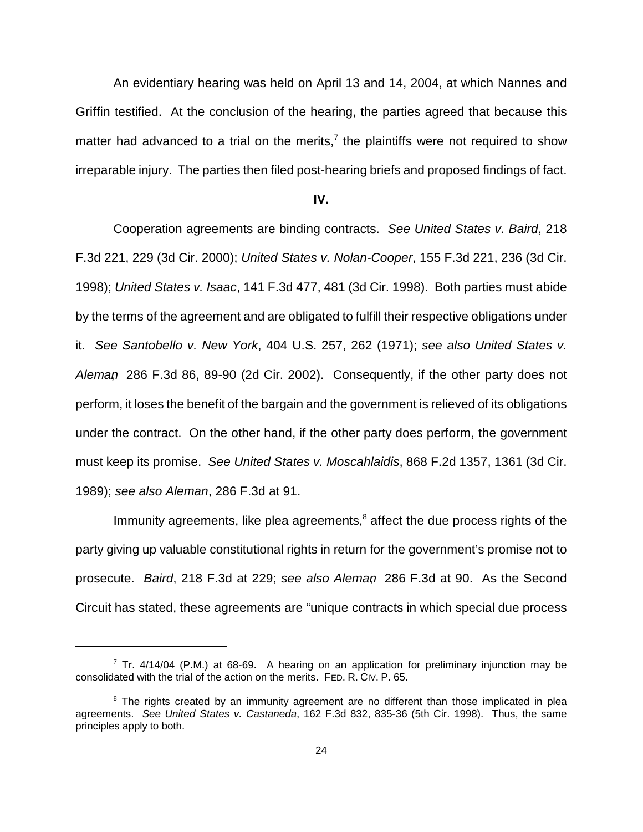An evidentiary hearing was held on April 13 and 14, 2004, at which Nannes and Griffin testified. At the conclusion of the hearing, the parties agreed that because this matter had advanced to a trial on the merits,<sup> $7$ </sup> the plaintiffs were not required to show irreparable injury. The parties then filed post-hearing briefs and proposed findings of fact.

#### **IV.**

Cooperation agreements are binding contracts. See United States v. Baird, 218 F.3d 221, 229 (3d Cir. 2000); United States v. Nolan-Cooper, 155 F.3d 221, 236 (3d Cir. 1998); United States v. Isaac, 141 F.3d 477, 481 (3d Cir. 1998). Both parties must abide by the terms of the agreement and are obligated to fulfill their respective obligations under it. See Santobello v. New York, 404 U.S. 257, 262 (1971); see also United States v. Aleman, 286 F.3d 86, 89-90 (2d Cir. 2002). Consequently, if the other party does not perform, it loses the benefit of the bargain and the government is relieved of its obligations under the contract. On the other hand, if the other party does perform, the government must keep its promise. See United States v. Moscahlaidis, 868 F.2d 1357, 1361 (3d Cir. 1989); see also Aleman, 286 F.3d at 91.

Immunity agreements, like plea agreements, $8$  affect the due process rights of the party giving up valuable constitutional rights in return for the government's promise not to prosecute. Baird, 218 F.3d at 229; see also Aleman, 286 F.3d at 90. As the Second Circuit has stated, these agreements are "unique contracts in which special due process

 $7$  Tr. 4/14/04 (P.M.) at 68-69. A hearing on an application for preliminary injunction may be consolidated with the trial of the action on the merits. FED. R. CIV. P. 65.

<sup>&</sup>lt;sup>8</sup> The rights created by an immunity agreement are no different than those implicated in plea agreements. See United States v. Castaneda, 162 F.3d 832, 835-36 (5th Cir. 1998). Thus, the same principles apply to both.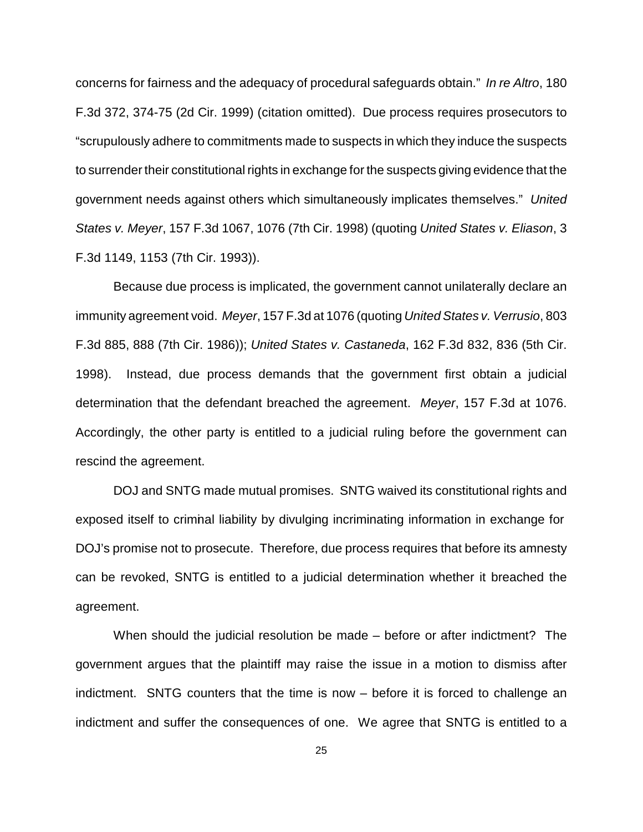concerns for fairness and the adequacy of procedural safeguards obtain." In re Altro, 180 F.3d 372, 374-75 (2d Cir. 1999) (citation omitted). Due process requires prosecutors to "scrupulously adhere to commitments made to suspects in which they induce the suspects to surrender their constitutional rights in exchange for the suspects giving evidence that the government needs against others which simultaneously implicates themselves." United States v. Meyer, 157 F.3d 1067, 1076 (7th Cir. 1998) (quoting United States v. Eliason, 3 F.3d 1149, 1153 (7th Cir. 1993)).

Because due process is implicated, the government cannot unilaterally declare an immunity agreement void. Meyer, 157 F.3d at 1076 (quoting United States v. Verrusio, 803 F.3d 885, 888 (7th Cir. 1986)); United States v. Castaneda, 162 F.3d 832, 836 (5th Cir. 1998). Instead, due process demands that the government first obtain a judicial determination that the defendant breached the agreement. Meyer, 157 F.3d at 1076. Accordingly, the other party is entitled to a judicial ruling before the government can rescind the agreement.

DOJ and SNTG made mutual promises. SNTG waived its constitutional rights and exposed itself to criminal liability by divulging incriminating information in exchange for DOJ's promise not to prosecute. Therefore, due process requires that before its amnesty can be revoked, SNTG is entitled to a judicial determination whether it breached the agreement.

When should the judicial resolution be made – before or after indictment? The government argues that the plaintiff may raise the issue in a motion to dismiss after indictment. SNTG counters that the time is now – before it is forced to challenge an indictment and suffer the consequences of one. We agree that SNTG is entitled to a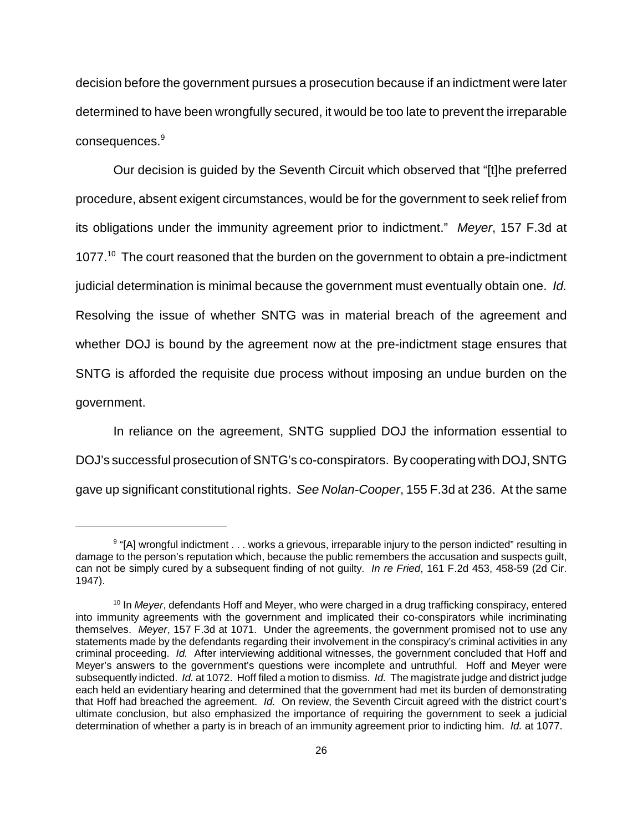decision before the government pursues a prosecution because if an indictment were later determined to have been wrongfully secured, it would be too late to prevent the irreparable consequences.<sup>9</sup>

Our decision is guided by the Seventh Circuit which observed that "[t]he preferred procedure, absent exigent circumstances, would be for the government to seek relief from its obligations under the immunity agreement prior to indictment." Meyer, 157 F.3d at 1077.<sup>10</sup> The court reasoned that the burden on the government to obtain a pre-indictment judicial determination is minimal because the government must eventually obtain one. Id. Resolving the issue of whether SNTG was in material breach of the agreement and whether DOJ is bound by the agreement now at the pre-indictment stage ensures that SNTG is afforded the requisite due process without imposing an undue burden on the government.

In reliance on the agreement, SNTG supplied DOJ the information essential to DOJ's successful prosecution of SNTG's co-conspirators. By cooperating with DOJ, SNTG gave up significant constitutional rights. See Nolan-Cooper, 155 F.3d at 236. At the same

<sup>&</sup>lt;sup>9</sup> "[A] wrongful indictment . . . works a grievous, irreparable injury to the person indicted" resulting in damage to the person's reputation which, because the public remembers the accusation and suspects guilt, can not be simply cured by a subsequent finding of not guilty. In re Fried, 161 F.2d 453, 458-59 (2d Cir. 1947).

 $10$  In Meyer, defendants Hoff and Meyer, who were charged in a drug trafficking conspiracy, entered into immunity agreements with the government and implicated their co-conspirators while incriminating themselves. Meyer, 157 F.3d at 1071. Under the agreements, the government promised not to use any statements made by the defendants regarding their involvement in the conspiracy's criminal activities in any criminal proceeding. Id. After interviewing additional witnesses, the government concluded that Hoff and Meyer's answers to the government's questions were incomplete and untruthful. Hoff and Meyer were subsequently indicted. Id. at 1072. Hoff filed a motion to dismiss. Id. The magistrate judge and district judge each held an evidentiary hearing and determined that the government had met its burden of demonstrating that Hoff had breached the agreement. Id. On review, the Seventh Circuit agreed with the district court's ultimate conclusion, but also emphasized the importance of requiring the government to seek a judicial determination of whether a party is in breach of an immunity agreement prior to indicting him. Id. at 1077.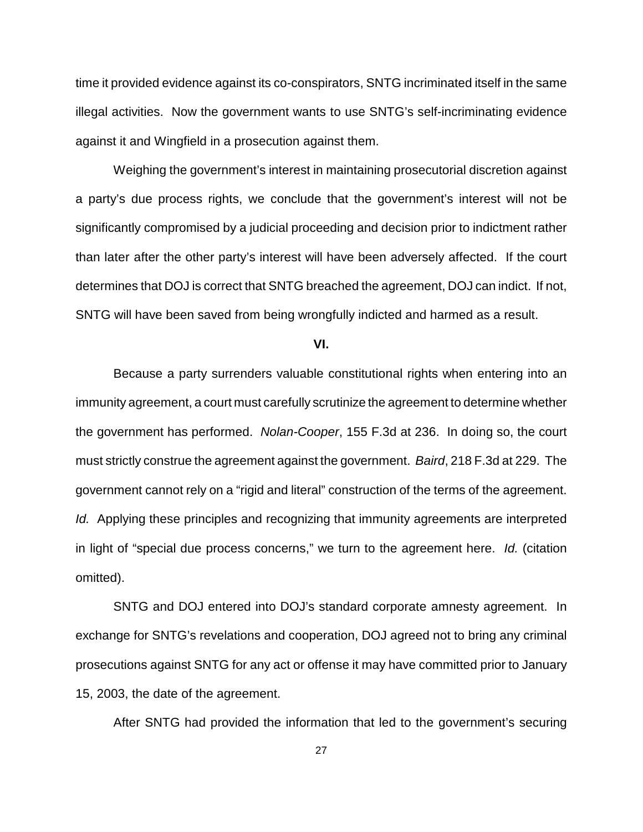time it provided evidence against its co-conspirators, SNTG incriminated itself in the same illegal activities. Now the government wants to use SNTG's self-incriminating evidence against it and Wingfield in a prosecution against them.

Weighing the government's interest in maintaining prosecutorial discretion against a party's due process rights, we conclude that the government's interest will not be significantly compromised by a judicial proceeding and decision prior to indictment rather than later after the other party's interest will have been adversely affected. If the court determines that DOJ is correct that SNTG breached the agreement, DOJ can indict. If not, SNTG will have been saved from being wrongfully indicted and harmed as a result.

**VI.**

Because a party surrenders valuable constitutional rights when entering into an immunity agreement, a court must carefully scrutinize the agreement to determine whether the government has performed. Nolan-Cooper, 155 F.3d at 236. In doing so, the court must strictly construe the agreement against the government. Baird, 218 F.3d at 229. The government cannot rely on a "rigid and literal" construction of the terms of the agreement. Id. Applying these principles and recognizing that immunity agreements are interpreted in light of "special due process concerns," we turn to the agreement here. Id. (citation omitted).

SNTG and DOJ entered into DOJ's standard corporate amnesty agreement. In exchange for SNTG's revelations and cooperation, DOJ agreed not to bring any criminal prosecutions against SNTG for any act or offense it may have committed prior to January 15, 2003, the date of the agreement.

After SNTG had provided the information that led to the government's securing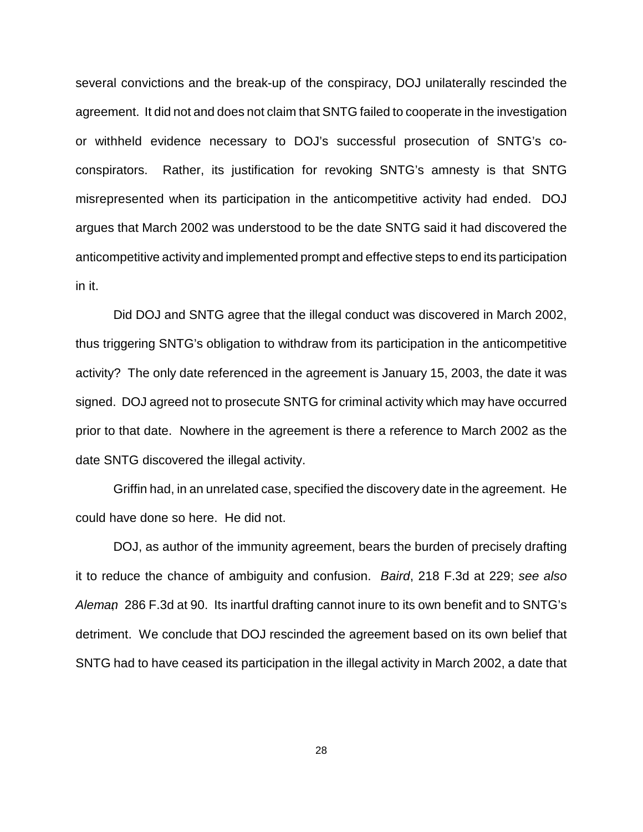several convictions and the break-up of the conspiracy, DOJ unilaterally rescinded the agreement. It did not and does not claim that SNTG failed to cooperate in the investigation or withheld evidence necessary to DOJ's successful prosecution of SNTG's coconspirators. Rather, its justification for revoking SNTG's amnesty is that SNTG misrepresented when its participation in the anticompetitive activity had ended. DOJ argues that March 2002 was understood to be the date SNTG said it had discovered the anticompetitive activity and implemented prompt and effective steps to end its participation in it.

Did DOJ and SNTG agree that the illegal conduct was discovered in March 2002, thus triggering SNTG's obligation to withdraw from its participation in the anticompetitive activity? The only date referenced in the agreement is January 15, 2003, the date it was signed. DOJ agreed not to prosecute SNTG for criminal activity which may have occurred prior to that date. Nowhere in the agreement is there a reference to March 2002 as the date SNTG discovered the illegal activity.

Griffin had, in an unrelated case, specified the discovery date in the agreement. He could have done so here. He did not.

DOJ, as author of the immunity agreement, bears the burden of precisely drafting it to reduce the chance of ambiguity and confusion. Baird, 218 F.3d at 229; see also Aleman, 286 F.3d at 90. Its inartful drafting cannot inure to its own benefit and to SNTG's detriment. We conclude that DOJ rescinded the agreement based on its own belief that SNTG had to have ceased its participation in the illegal activity in March 2002, a date that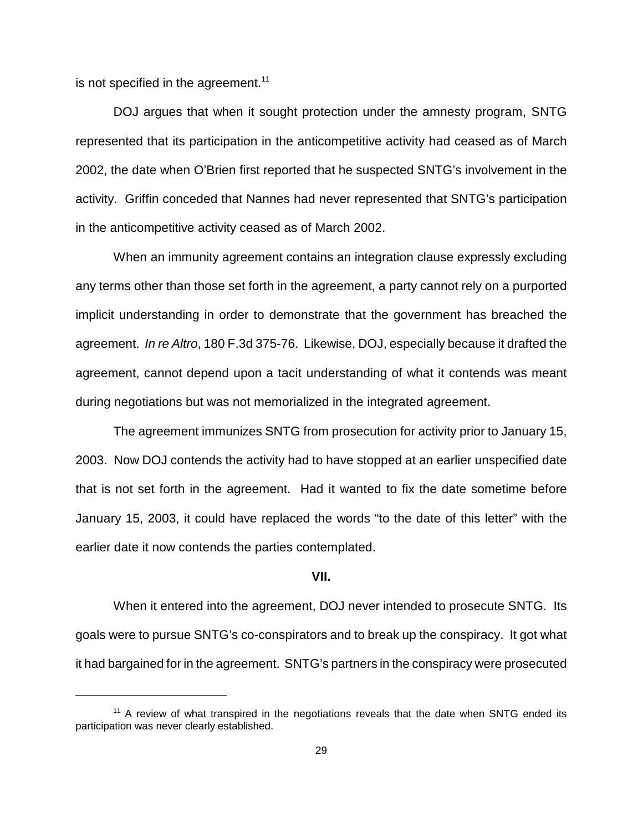is not specified in the agreement. $11$ 

DOJ argues that when it sought protection under the amnesty program, SNTG represented that its participation in the anticompetitive activity had ceased as of March 2002, the date when O'Brien first reported that he suspected SNTG's involvement in the activity. Griffin conceded that Nannes had never represented that SNTG's participation in the anticompetitive activity ceased as of March 2002.

When an immunity agreement contains an integration clause expressly excluding any terms other than those set forth in the agreement, a party cannot rely on a purported implicit understanding in order to demonstrate that the government has breached the agreement. In re Altro, 180 F.3d 375-76. Likewise, DOJ, especially because it drafted the agreement, cannot depend upon a tacit understanding of what it contends was meant during negotiations but was not memorialized in the integrated agreement.

The agreement immunizes SNTG from prosecution for activity prior to January 15, 2003. Now DOJ contends the activity had to have stopped at an earlier unspecified date that is not set forth in the agreement. Had it wanted to fix the date sometime before January 15, 2003, it could have replaced the words "to the date of this letter" with the earlier date it now contends the parties contemplated.

#### **VII.**

When it entered into the agreement, DOJ never intended to prosecute SNTG. Its goals were to pursue SNTG's co-conspirators and to break up the conspiracy. It got what it had bargained for in the agreement. SNTG's partners in the conspiracy were prosecuted

 $11$  A review of what transpired in the negotiations reveals that the date when SNTG ended its participation was never clearly established.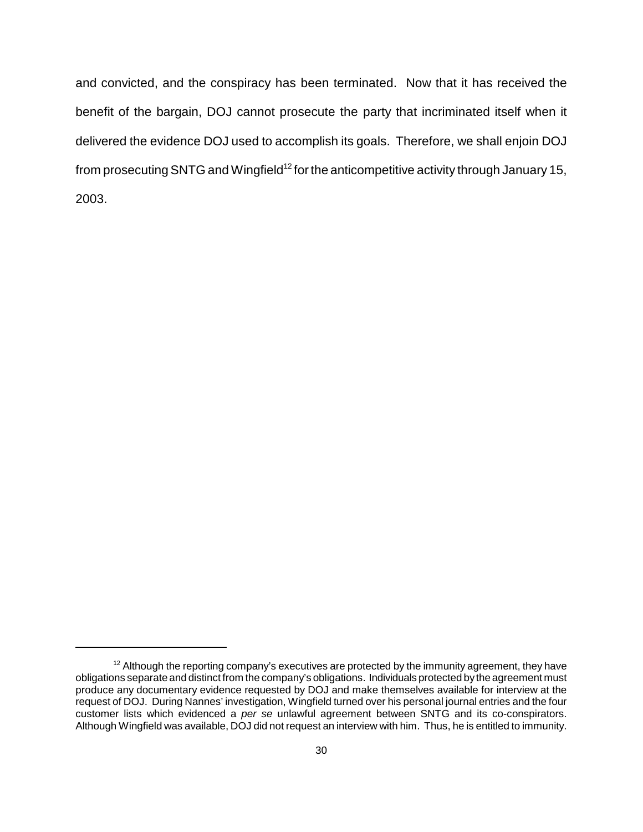and convicted, and the conspiracy has been terminated. Now that it has received the benefit of the bargain, DOJ cannot prosecute the party that incriminated itself when it delivered the evidence DOJ used to accomplish its goals. Therefore, we shall enjoin DOJ from prosecuting SNTG and Wingfield<sup>12</sup> for the anticompetitive activity through January 15, 2003.

 $12$  Although the reporting company's executives are protected by the immunity agreement, they have obligations separate and distinct from the company's obligations. Individuals protected by the agreement must produce any documentary evidence requested by DOJ and make themselves available for interview at the request of DOJ. During Nannes' investigation, Wingfield turned over his personal journal entries and the four customer lists which evidenced a per se unlawful agreement between SNTG and its co-conspirators. Although Wingfield was available, DOJ did not request an interview with him. Thus, he is entitled to immunity.